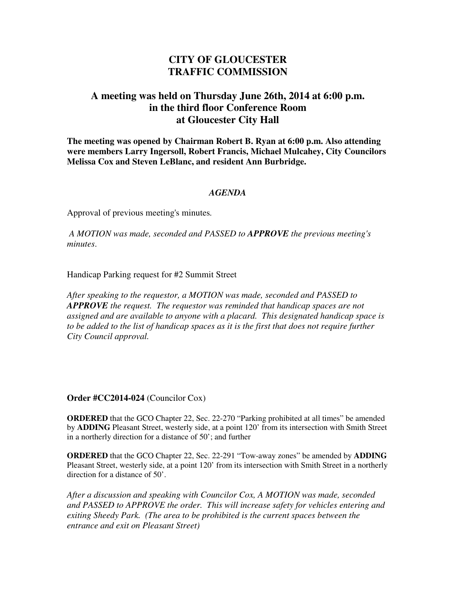# **CITY OF GLOUCESTER TRAFFIC COMMISSION**

# **A meeting was held on Thursday June 26th, 2014 at 6:00 p.m. in the third floor Conference Room at Gloucester City Hall**

**The meeting was opened by Chairman Robert B. Ryan at 6:00 p.m. Also attending were members Larry Ingersoll, Robert Francis, Michael Mulcahey, City Councilors Melissa Cox and Steven LeBlanc, and resident Ann Burbridge.** 

#### *AGENDA*

Approval of previous meeting's minutes*.* 

 *A MOTION was made, seconded and PASSED to APPROVE the previous meeting's minutes*.

Handicap Parking request for #2 Summit Street

*After speaking to the requestor, a MOTION was made, seconded and PASSED to APPROVE the request. The requestor was reminded that handicap spaces are not assigned and are available to anyone with a placard. This designated handicap space is to be added to the list of handicap spaces as it is the first that does not require further City Council approval.* 

**Order #CC2014-024** (Councilor Cox)

**ORDERED** that the GCO Chapter 22, Sec. 22-270 "Parking prohibited at all times" be amended by **ADDING** Pleasant Street, westerly side, at a point 120' from its intersection with Smith Street in a northerly direction for a distance of 50'; and further

**ORDERED** that the GCO Chapter 22, Sec. 22-291 "Tow-away zones" be amended by **ADDING** Pleasant Street, westerly side, at a point 120' from its intersection with Smith Street in a northerly direction for a distance of 50'.

*After a discussion and speaking with Councilor Cox, A MOTION was made, seconded and PASSED to APPROVE the order. This will increase safety for vehicles entering and exiting Sheedy Park. (The area to be prohibited is the current spaces between the entrance and exit on Pleasant Street)*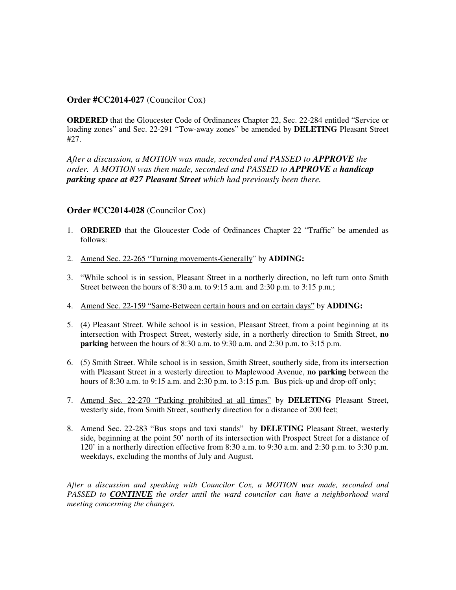#### **Order #CC2014-027** (Councilor Cox)

**ORDERED** that the Gloucester Code of Ordinances Chapter 22, Sec. 22-284 entitled "Service or loading zones" and Sec. 22-291 "Tow-away zones" be amended by **DELETING** Pleasant Street #27.

*After a discussion, a MOTION was made, seconded and PASSED to APPROVE the order. A MOTION was then made, seconded and PASSED to APPROVE a handicap parking space at #27 Pleasant Street which had previously been there.*

## **Order #CC2014-028** (Councilor Cox)

- 1. **ORDERED** that the Gloucester Code of Ordinances Chapter 22 "Traffic" be amended as follows:
- 2. Amend Sec. 22-265 "Turning movements-Generally" by **ADDING:**
- 3. "While school is in session, Pleasant Street in a northerly direction, no left turn onto Smith Street between the hours of 8:30 a.m. to 9:15 a.m. and 2:30 p.m. to 3:15 p.m.;
- 4. Amend Sec. 22-159 "Same-Between certain hours and on certain days" by **ADDING:**
- 5. (4) Pleasant Street. While school is in session, Pleasant Street, from a point beginning at its intersection with Prospect Street, westerly side, in a northerly direction to Smith Street, **no parking** between the hours of 8:30 a.m. to 9:30 a.m. and 2:30 p.m. to 3:15 p.m.
- 6. (5) Smith Street. While school is in session, Smith Street, southerly side, from its intersection with Pleasant Street in a westerly direction to Maplewood Avenue, **no parking** between the hours of 8:30 a.m. to 9:15 a.m. and 2:30 p.m. to  $3:15$  p.m. Bus pick-up and drop-off only;
- 7. Amend Sec. 22-270 "Parking prohibited at all times" by **DELETING** Pleasant Street, westerly side, from Smith Street, southerly direction for a distance of 200 feet;
- 8. Amend Sec. 22-283 "Bus stops and taxi stands" by **DELETING** Pleasant Street, westerly side, beginning at the point 50' north of its intersection with Prospect Street for a distance of 120' in a northerly direction effective from 8:30 a.m. to 9:30 a.m. and 2:30 p.m. to 3:30 p.m. weekdays, excluding the months of July and August.

*After a discussion and speaking with Councilor Cox, a MOTION was made, seconded and PASSED to CONTINUE the order until the ward councilor can have a neighborhood ward meeting concerning the changes.*